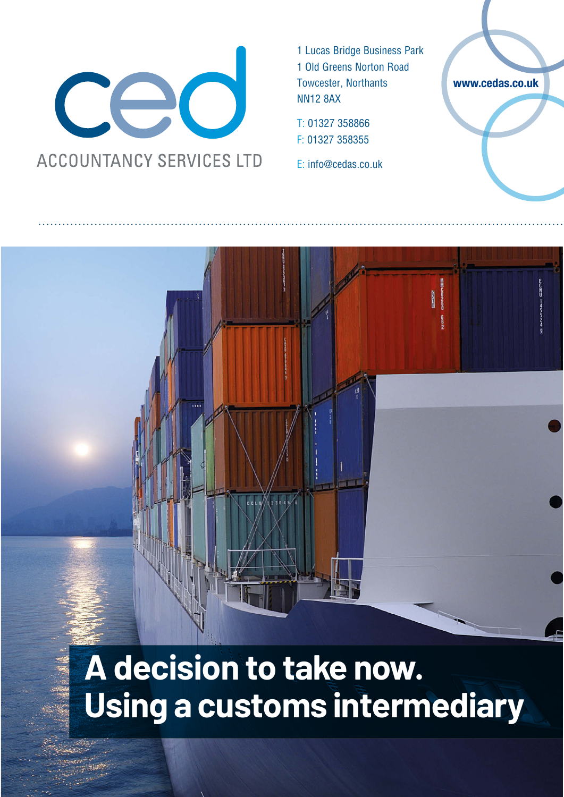

1 Lucas Bridge Business Park 1 Old Greens Norton Road Towcester, Northants NN12 8AX

T: 01327 358866 F: 01327 358355

E: info@cedas.co.uk

**www.cedas.co.uk**

# **A decision to take now. Using a customs intermediary**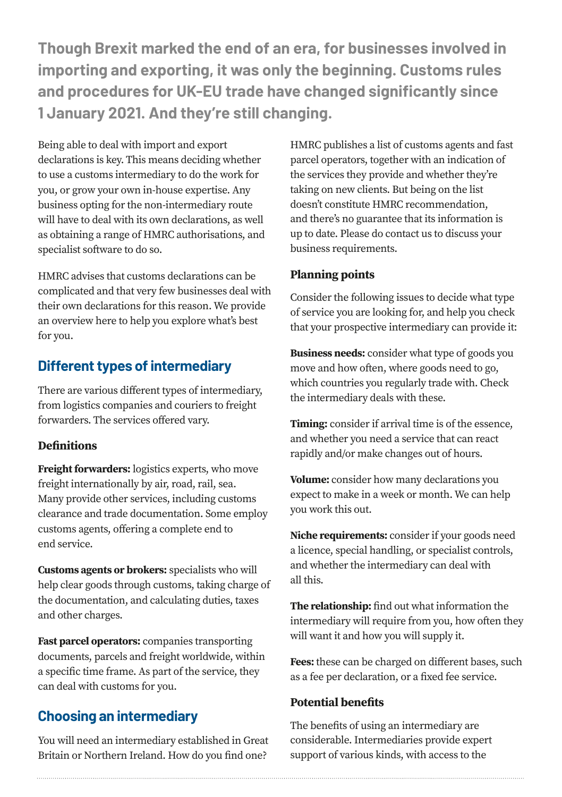**Though Brexit marked the end of an era, for businesses involved in importing and exporting, it was only the beginning. Customs rules and procedures for UK-EU trade have changed significantly since 1 January 2021. And they're still changing.** 

Being able to deal with import and export declarations is key. This means deciding whether to use a customs intermediary to do the work for you, or grow your own in-house expertise. Any business opting for the non-intermediary route will have to deal with its own declarations, as well as obtaining a range of HMRC authorisations, and specialist software to do so.

HMRC advises that customs declarations can be complicated and that very few businesses deal with their own declarations for this reason. We provide an overview here to help you explore what's best for you.

## **Different types of intermediary**

There are various different types of intermediary, from logistics companies and couriers to freight forwarders. The services offered vary.

#### **Definitions**

**Freight forwarders:** logistics experts, who move freight internationally by air, road, rail, sea. Many provide other services, including customs clearance and trade documentation. Some employ customs agents, offering a complete end to end service.

**Customs agents or brokers:** specialists who will help clear goods through customs, taking charge of the documentation, and calculating duties, taxes and other charges.

**Fast parcel operators:** companies transporting documents, parcels and freight worldwide, within a specific time frame. As part of the service, they can deal with customs for you.

## **Choosing an intermediary**

You will need an intermediary established in Great Britain or Northern Ireland. How do you find one?

HMRC publishes a list of customs agents and fast parcel operators, together with an indication of the services they provide and whether they're taking on new clients. But being on the list doesn't constitute HMRC recommendation, and there's no guarantee that its information is up to date. Please do contact us to discuss your business requirements.

## **Planning points**

Consider the following issues to decide what type of service you are looking for, and help you check that your prospective intermediary can provide it:

**Business needs:** consider what type of goods you move and how often, where goods need to go, which countries you regularly trade with. Check the intermediary deals with these.

**Timing:** consider if arrival time is of the essence, and whether you need a service that can react rapidly and/or make changes out of hours.

**Volume:** consider how many declarations you expect to make in a week or month. We can help you work this out.

**Niche requirements:** consider if your goods need a licence, special handling, or specialist controls, and whether the intermediary can deal with all this.

**The relationship:** find out what information the intermediary will require from you, how often they will want it and how you will supply it.

**Fees:** these can be charged on different bases, such as a fee per declaration, or a fixed fee service.

### **Potential benefits**

The benefits of using an intermediary are considerable. Intermediaries provide expert support of various kinds, with access to the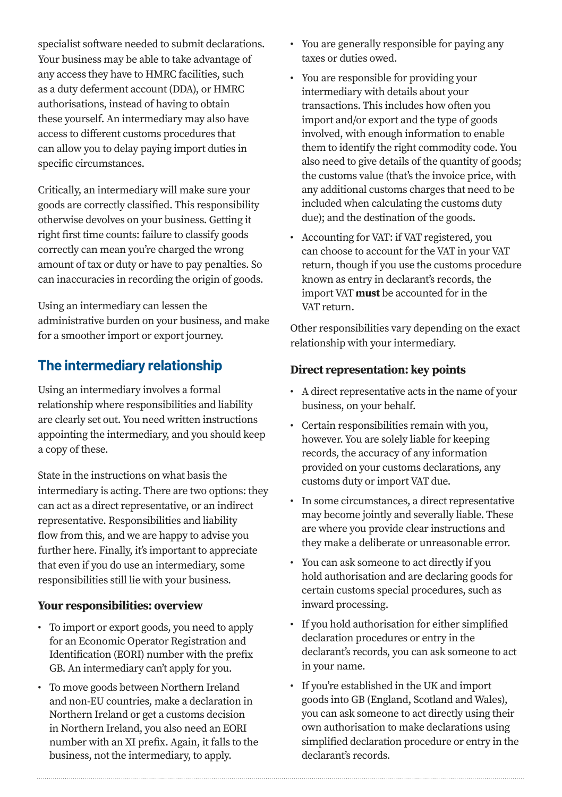specialist software needed to submit declarations. Your business may be able to take advantage of any access they have to HMRC facilities, such as a duty deferment account (DDA), or HMRC authorisations, instead of having to obtain these yourself. An intermediary may also have access to different customs procedures that can allow you to delay paying import duties in specific circumstances.

Critically, an intermediary will make sure your goods are correctly classified. This responsibility otherwise devolves on your business. Getting it right first time counts: failure to classify goods correctly can mean you're charged the wrong amount of tax or duty or have to pay penalties. So can inaccuracies in recording the origin of goods.

Using an intermediary can lessen the administrative burden on your business, and make for a smoother import or export journey.

# **The intermediary relationship**

Using an intermediary involves a formal relationship where responsibilities and liability are clearly set out. You need written instructions appointing the intermediary, and you should keep a copy of these.

State in the instructions on what basis the intermediary is acting. There are two options: they can act as a direct representative, or an indirect representative. Responsibilities and liability flow from this, and we are happy to advise you further here. Finally, it's important to appreciate that even if you do use an intermediary, some responsibilities still lie with your business.

#### **Your responsibilities: overview**

- To import or export goods, you need to apply for an Economic Operator Registration and Identification (EORI) number with the prefix GB. An intermediary can't apply for you.
- To move goods between Northern Ireland and non-EU countries, make a declaration in Northern Ireland or get a customs decision in Northern Ireland, you also need an EORI number with an XI prefix. Again, it falls to the business, not the intermediary, to apply.
- You are generally responsible for paying any taxes or duties owed.
- You are responsible for providing your intermediary with details about your transactions. This includes how often you import and/or export and the type of goods involved, with enough information to enable them to identify the right commodity code. You also need to give details of the quantity of goods; the customs value (that's the invoice price, with any additional customs charges that need to be included when calculating the customs duty due); and the destination of the goods.
- Accounting for VAT: if VAT registered, you can choose to account for the VAT in your VAT return, though if you use the customs procedure known as entry in declarant's records, the import VAT **must** be accounted for in the VAT return.

Other responsibilities vary depending on the exact relationship with your intermediary.

#### **Direct representation: key points**

- A direct representative acts in the name of your business, on your behalf.
- Certain responsibilities remain with you, however. You are solely liable for keeping records, the accuracy of any information provided on your customs declarations, any customs duty or import VAT due.
- In some circumstances, a direct representative may become jointly and severally liable. These are where you provide clear instructions and they make a deliberate or unreasonable error.
- You can ask someone to act directly if you hold authorisation and are declaring goods for certain customs special procedures, such as inward processing.
- If you hold authorisation for either simplified declaration procedures or entry in the declarant's records, you can ask someone to act in your name.
- If you're established in the UK and import goods into GB (England, Scotland and Wales), you can ask someone to act directly using their own authorisation to make declarations using simplified declaration procedure or entry in the declarant's records.